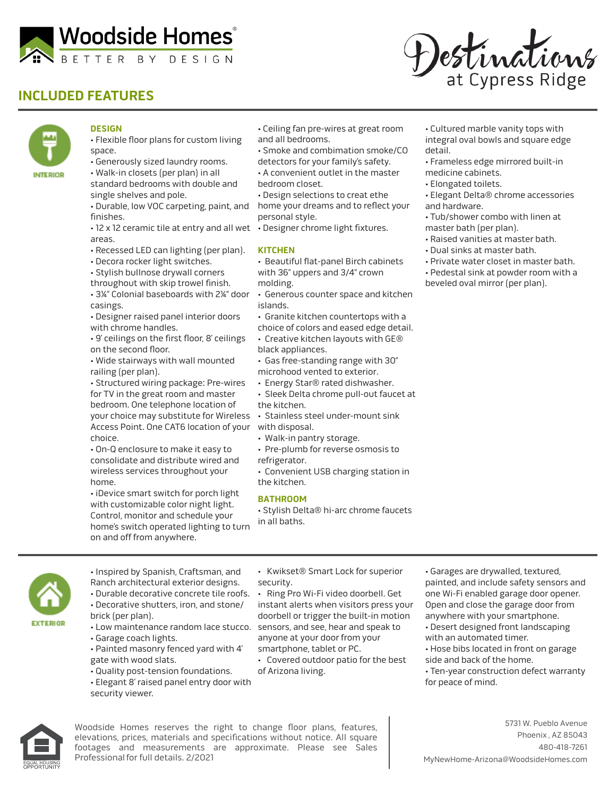

## **INCLUDED FEATURES**





## **DESIGN**

- Flexible floor plans for custom living space.
- Generously sized laundry rooms.
- Walk-in closets (per plan) in all standard bedrooms with double and single shelves and pole.
- Durable, low VOC carpeting, paint, and home your dreams and to reflect your finishes.
- 12 x 12 ceramic tile at entry and all wet Designer chrome light fixtures. areas.
- Recessed LED can lighting (per plan).
- Decora rocker light switches.
- Stylish bullnose drywall corners
- throughout with skip trowel finish. • 3¼" Colonial baseboards with 2¼" door casings.
- Designer raised panel interior doors with chrome handles.
- 9' ceilings on the first floor, 8' ceilings on the second floor.
- Wide stairways with wall mounted railing (per plan).
- Structured wiring package: Pre-wires for TV in the great room and master bedroom. One telephone location of your choice may substitute for Wireless • Stainless steel under-mount sink Access Point. One CAT6 location of your with disposal. choice.

• On-Q enclosure to make it easy to consolidate and distribute wired and wireless services throughout your home.

• iDevice smart switch for porch light with customizable color night light. Control, monitor and schedule your home's switch operated lighting to turn on and off from anywhere.

- **EXTERIOR**
- Inspired by Spanish, Craftsman, and Ranch architectural exterior designs. • Durable decorative concrete tile roofs.
	- Decorative shutters, iron, and stone/ brick (per plan).
	- Low maintenance random lace stucco.
	- Garage coach lights.
	- Painted masonry fenced yard with 4' gate with wood slats.
	- Quality post-tension foundations.
	- Elegant 8' raised panel entry door with
	- security viewer.
- Kwikset® Smart Lock for superior security.
- Ring Pro Wi-Fi video doorbell. Get instant alerts when visitors press your doorbell or trigger the built-in motion sensors, and see, hear and speak to anyone at your door from your smartphone, tablet or PC.
- Covered outdoor patio for the best of Arizona living.
- Cultured marble vanity tops with integral oval bowls and square edge detail.
- Frameless edge mirrored built-in medicine cabinets.
- Elongated toilets.
- Elegant Delta® chrome accessories and hardware.
- Tub/shower combo with linen at master bath (per plan).
- Raised vanities at master bath.
- Dual sinks at master bath.
- Private water closet in master bath.
- Pedestal sink at powder room with a beveled oval mirror (per plan).



Woodside Homes reserves the right to change floor plans, features, elevations, prices, materials and specifications without notice. All square footages and measurements are approximate. Please see Sales Professional for full details. 2/2021

5731 W. Pueblo Avenue Phoenix , AZ 85043 480-418-7261 MyNewHome-Arizona@WoodsideHomes.com

• Hose bibs located in front on garage

• Ten-year construction defect warranty

• Garages are drywalled, textured, painted, and include safety sensors and one Wi-Fi enabled garage door opener. Open and close the garage door from anywhere with your smartphone. • Desert designed front landscaping

with an automated timer.

side and back of the home.

for peace of mind.

• Walk-in pantry storage. • Pre-plumb for reverse osmosis to

the kitchen.

- 
- refrigerator.
- Convenient USB charging station in the kitchen.

• Ceiling fan pre-wires at great room

• Smoke and combimation smoke/CO detectors for your family's safety. • A convenient outlet in the master

• Design selections to creat ethe

• Beautiful flat-panel Birch cabinets with 36" uppers and 3/4" crown

• Generous counter space and kitchen

• Granite kitchen countertops with a choice of colors and eased edge detail. • Creative kitchen layouts with GE®

• Gas free-standing range with 30" microhood vented to exterior. • Energy Star® rated dishwasher. • Sleek Delta chrome pull-out faucet at

and all bedrooms.

bedroom closet.

personal style.

**KITCHEN**

molding.

islands.

black appliances.

## **BATHROOM**

• Stylish Delta® hi-arc chrome faucets in all baths.